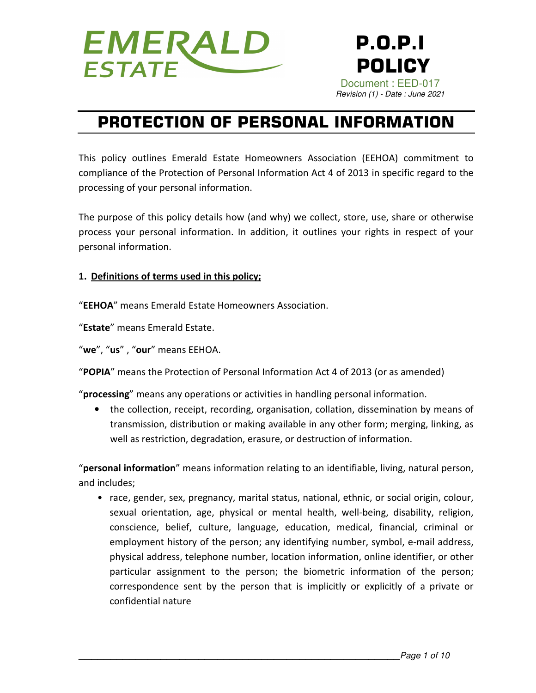

# **PROTECTION OF PERSONAL INFORMATION**

This policy outlines Emerald Estate Homeowners Association (EEHOA) commitment to compliance of the Protection of Personal Information Act 4 of 2013 in specific regard to the processing of your personal information.

The purpose of this policy details how (and why) we collect, store, use, share or otherwise process your personal information. In addition, it outlines your rights in respect of your personal information.

#### **1. Definitions of terms used in this policy;**

"**EEHOA**" means Emerald Estate Homeowners Association.

"**Estate**" means Emerald Estate.

"**we**", "**us**" , "**our**" means EEHOA.

"**POPIA**" means the Protection of Personal Information Act 4 of 2013 (or as amended)

"**processing**" means any operations or activities in handling personal information.

• the collection, receipt, recording, organisation, collation, dissemination by means of transmission, distribution or making available in any other form; merging, linking, as well as restriction, degradation, erasure, or destruction of information.

"**personal information**" means information relating to an identifiable, living, natural person, and includes;

• race, gender, sex, pregnancy, marital status, national, ethnic, or social origin, colour, sexual orientation, age, physical or mental health, well-being, disability, religion, conscience, belief, culture, language, education, medical, financial, criminal or employment history of the person; any identifying number, symbol, e-mail address, physical address, telephone number, location information, online identifier, or other particular assignment to the person; the biometric information of the person; correspondence sent by the person that is implicitly or explicitly of a private or confidential nature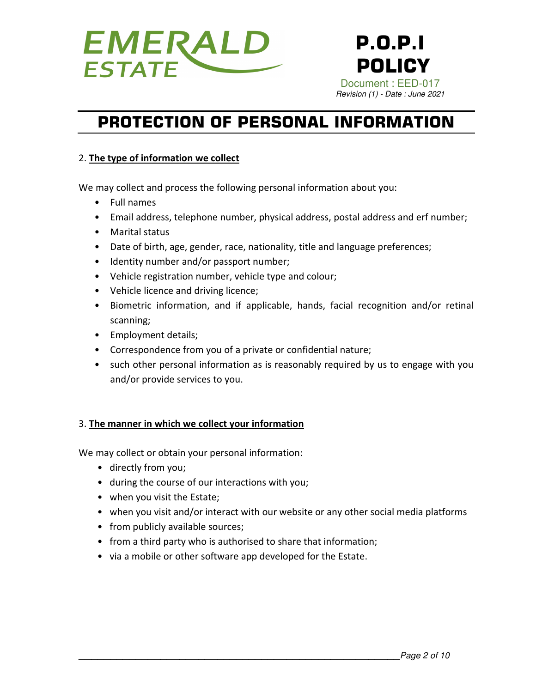

# **PROTECTION OF PERSONAL INFORMATION**

### 2. **The type of information we collect**

We may collect and process the following personal information about you:

- Full names
- Email address, telephone number, physical address, postal address and erf number;
- Marital status
- Date of birth, age, gender, race, nationality, title and language preferences;
- Identity number and/or passport number;
- Vehicle registration number, vehicle type and colour;
- Vehicle licence and driving licence;
- Biometric information, and if applicable, hands, facial recognition and/or retinal scanning;
- Employment details;
- Correspondence from you of a private or confidential nature;
- such other personal information as is reasonably required by us to engage with you and/or provide services to you.

#### 3. **The manner in which we collect your information**

We may collect or obtain your personal information:

- directly from you;
- during the course of our interactions with you;
- when you visit the Estate;
- when you visit and/or interact with our website or any other social media platforms
- from publicly available sources;
- from a third party who is authorised to share that information;
- via a mobile or other software app developed for the Estate.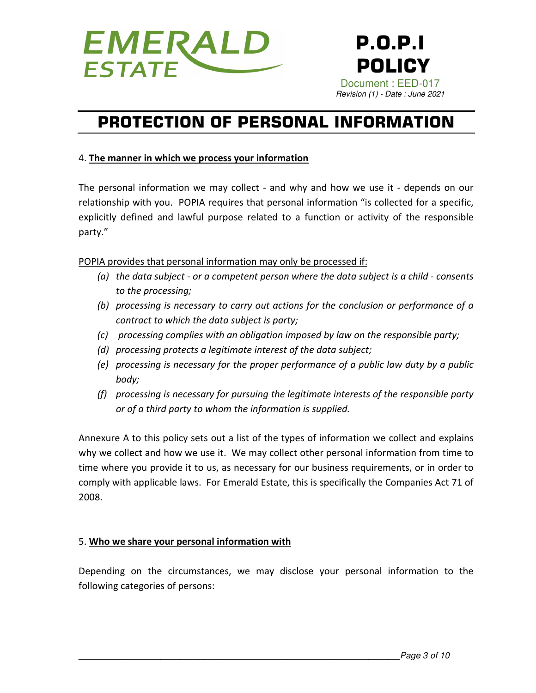

# **PROTECTION OF PERSONAL INFORMATION**

### 4. **The manner in which we process your information**

The personal information we may collect - and why and how we use it - depends on our relationship with you. POPIA requires that personal information "is collected for a specific, explicitly defined and lawful purpose related to a function or activity of the responsible party."

POPIA provides that personal information may only be processed if:

- *(a) the data subject or a competent person where the data subject is a child consents to the processing;*
- *(b) processing is necessary to carry out actions for the conclusion or performance of a contract to which the data subject is party;*
- *(c) processing complies with an obligation imposed by law on the responsible party;*
- *(d) processing protects a legitimate interest of the data subject;*
- *(e) processing is necessary for the proper performance of a public law duty by a public body;*
- *(f) processing is necessary for pursuing the legitimate interests of the responsible party or of a third party to whom the information is supplied.*

Annexure A to this policy sets out a list of the types of information we collect and explains why we collect and how we use it. We may collect other personal information from time to time where you provide it to us, as necessary for our business requirements, or in order to comply with applicable laws. For Emerald Estate, this is specifically the Companies Act 71 of 2008.

### 5. **Who we share your personal information with**

Depending on the circumstances, we may disclose your personal information to the following categories of persons: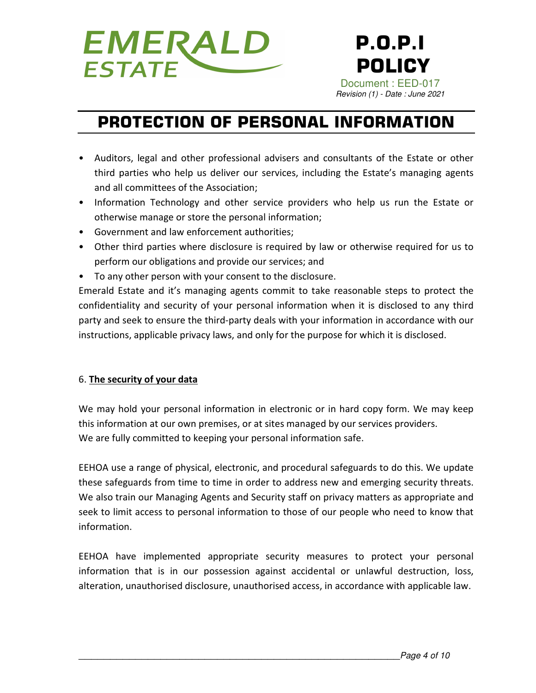

# **PROTECTION OF PERSONAL INFORMATION**

- Auditors, legal and other professional advisers and consultants of the Estate or other third parties who help us deliver our services, including the Estate's managing agents and all committees of the Association;
- Information Technology and other service providers who help us run the Estate or otherwise manage or store the personal information;
- Government and law enforcement authorities;
- Other third parties where disclosure is required by law or otherwise required for us to perform our obligations and provide our services; and
- To any other person with your consent to the disclosure.

Emerald Estate and it's managing agents commit to take reasonable steps to protect the confidentiality and security of your personal information when it is disclosed to any third party and seek to ensure the third-party deals with your information in accordance with our instructions, applicable privacy laws, and only for the purpose for which it is disclosed.

### 6. **The security of your data**

We may hold your personal information in electronic or in hard copy form. We may keep this information at our own premises, or at sites managed by our services providers. We are fully committed to keeping your personal information safe.

EEHOA use a range of physical, electronic, and procedural safeguards to do this. We update these safeguards from time to time in order to address new and emerging security threats. We also train our Managing Agents and Security staff on privacy matters as appropriate and seek to limit access to personal information to those of our people who need to know that information.

EEHOA have implemented appropriate security measures to protect your personal information that is in our possession against accidental or unlawful destruction, loss, alteration, unauthorised disclosure, unauthorised access, in accordance with applicable law.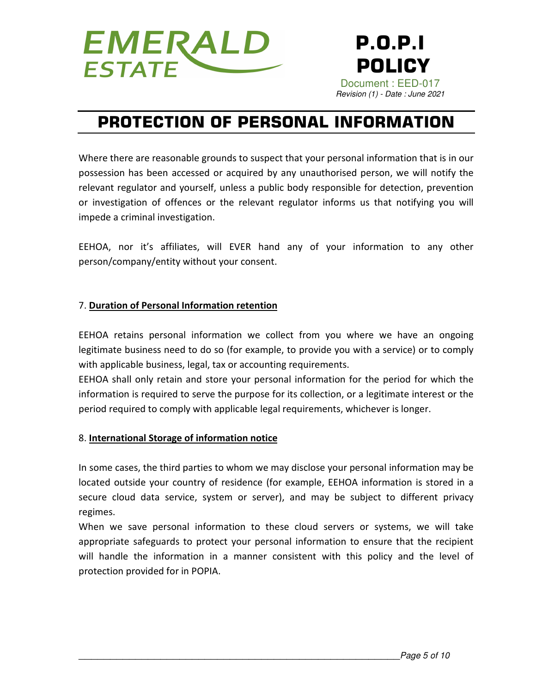

## **PROTECTION OF PERSONAL INFORMATION**

Where there are reasonable grounds to suspect that your personal information that is in our possession has been accessed or acquired by any unauthorised person, we will notify the relevant regulator and yourself, unless a public body responsible for detection, prevention or investigation of offences or the relevant regulator informs us that notifying you will impede a criminal investigation.

EEHOA, nor it's affiliates, will EVER hand any of your information to any other person/company/entity without your consent.

#### 7. **Duration of Personal Information retention**

EEHOA retains personal information we collect from you where we have an ongoing legitimate business need to do so (for example, to provide you with a service) or to comply with applicable business, legal, tax or accounting requirements.

EEHOA shall only retain and store your personal information for the period for which the information is required to serve the purpose for its collection, or a legitimate interest or the period required to comply with applicable legal requirements, whichever is longer.

#### 8. **International Storage of information notice**

In some cases, the third parties to whom we may disclose your personal information may be located outside your country of residence (for example, EEHOA information is stored in a secure cloud data service, system or server), and may be subject to different privacy regimes.

When we save personal information to these cloud servers or systems, we will take appropriate safeguards to protect your personal information to ensure that the recipient will handle the information in a manner consistent with this policy and the level of protection provided for in POPIA.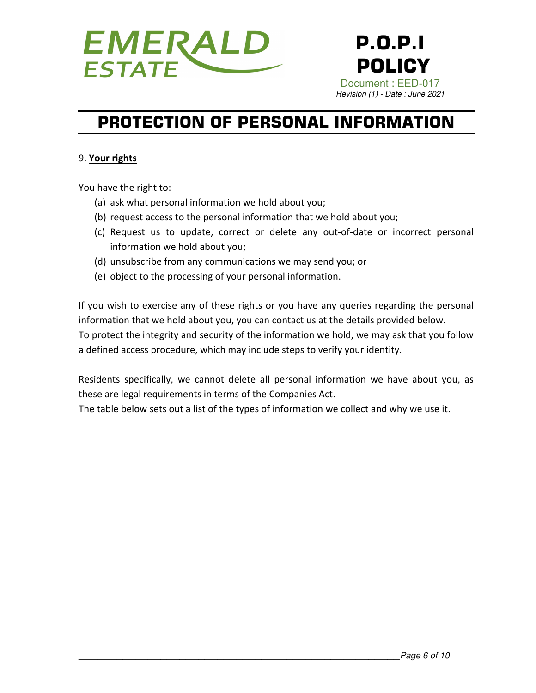

# **PROTECTION OF PERSONAL INFORMATION**

#### 9. **Your rights**

You have the right to:

- (a) ask what personal information we hold about you;
- (b) request access to the personal information that we hold about you;
- (c) Request us to update, correct or delete any out-of-date or incorrect personal information we hold about you;
- (d) unsubscribe from any communications we may send you; or
- (e) object to the processing of your personal information.

If you wish to exercise any of these rights or you have any queries regarding the personal information that we hold about you, you can contact us at the details provided below. To protect the integrity and security of the information we hold, we may ask that you follow a defined access procedure, which may include steps to verify your identity.

Residents specifically, we cannot delete all personal information we have about you, as these are legal requirements in terms of the Companies Act.

The table below sets out a list of the types of information we collect and why we use it.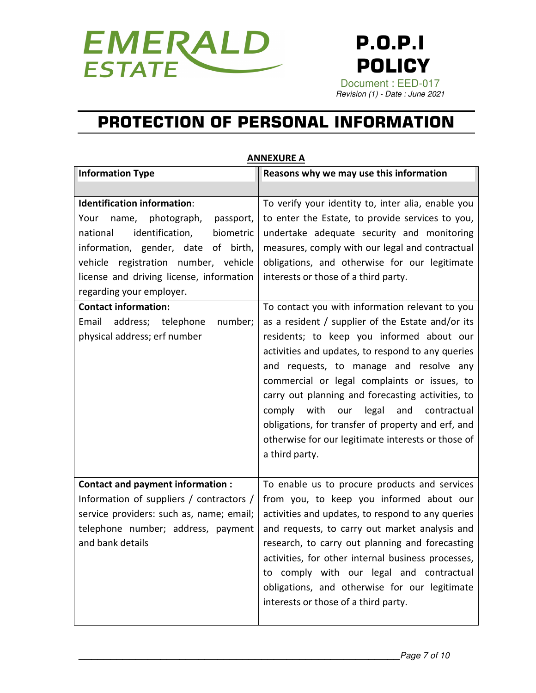

# **PROTECTION OF PERSONAL INFORMATION**

|                                                                                                                                                                                                                                                                                                                                                                                       | ЛШЕЛОНЬ Л                                                                                                                                                                                                                                                                                                                                                                                                                                                                                                                                                                                                                                                                                                                                                                                                                                  |
|---------------------------------------------------------------------------------------------------------------------------------------------------------------------------------------------------------------------------------------------------------------------------------------------------------------------------------------------------------------------------------------|--------------------------------------------------------------------------------------------------------------------------------------------------------------------------------------------------------------------------------------------------------------------------------------------------------------------------------------------------------------------------------------------------------------------------------------------------------------------------------------------------------------------------------------------------------------------------------------------------------------------------------------------------------------------------------------------------------------------------------------------------------------------------------------------------------------------------------------------|
| <b>Information Type</b>                                                                                                                                                                                                                                                                                                                                                               | Reasons why we may use this information                                                                                                                                                                                                                                                                                                                                                                                                                                                                                                                                                                                                                                                                                                                                                                                                    |
|                                                                                                                                                                                                                                                                                                                                                                                       |                                                                                                                                                                                                                                                                                                                                                                                                                                                                                                                                                                                                                                                                                                                                                                                                                                            |
| <b>Identification information:</b><br>name, photograph,<br>Your<br>passport,<br>identification,<br>national<br>biometric<br>information, gender, date of birth,<br>vehicle registration number, vehicle<br>license and driving license, information<br>regarding your employer.<br><b>Contact information:</b><br>Email address; telephone<br>number;<br>physical address; erf number | To verify your identity to, inter alia, enable you<br>to enter the Estate, to provide services to you,<br>undertake adequate security and monitoring<br>measures, comply with our legal and contractual<br>obligations, and otherwise for our legitimate<br>interests or those of a third party.<br>To contact you with information relevant to you<br>as a resident / supplier of the Estate and/or its<br>residents; to keep you informed about our<br>activities and updates, to respond to any queries<br>and requests, to manage and resolve any<br>commercial or legal complaints or issues, to<br>carry out planning and forecasting activities, to<br>comply with<br>legal<br>our<br>and contractual<br>obligations, for transfer of property and erf, and<br>otherwise for our legitimate interests or those of<br>a third party. |
| <b>Contact and payment information:</b><br>Information of suppliers / contractors /<br>service providers: such as, name; email;<br>telephone number; address, payment<br>and bank details                                                                                                                                                                                             | To enable us to procure products and services<br>from you, to keep you informed about our<br>activities and updates, to respond to any queries<br>and requests, to carry out market analysis and<br>research, to carry out planning and forecasting<br>activities, for other internal business processes,<br>to comply with our legal and contractual<br>obligations, and otherwise for our legitimate<br>interests or those of a third party.                                                                                                                                                                                                                                                                                                                                                                                             |

#### **ANNEXURE A**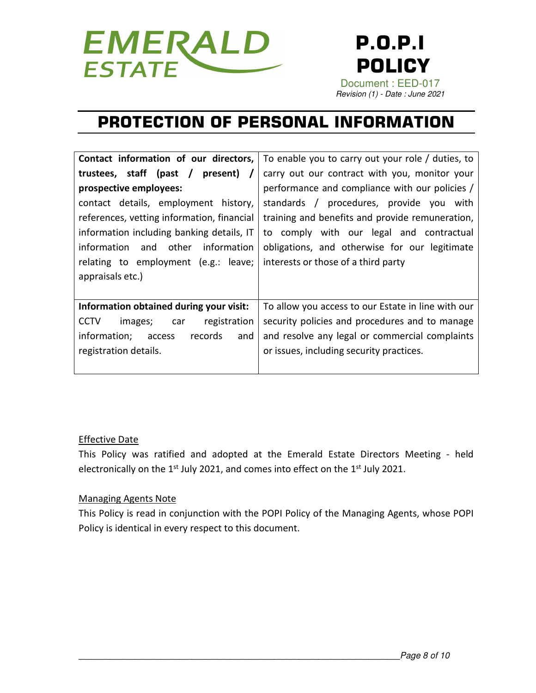

# **PROTECTION OF PERSONAL INFORMATION**

| Contact information of our directors,           | To enable you to carry out your role / duties, to  |
|-------------------------------------------------|----------------------------------------------------|
| trustees, staff (past /<br>present)<br>$\prime$ | carry out our contract with you, monitor your      |
| prospective employees:                          | performance and compliance with our policies /     |
| contact details, employment history,            | standards / procedures, provide you with           |
| references, vetting information, financial      | training and benefits and provide remuneration,    |
| information including banking details, IT       | to comply with our legal and contractual           |
| information and other<br>information            | obligations, and otherwise for our legitimate      |
| relating to employment (e.g.: leave;            | interests or those of a third party                |
| appraisals etc.)                                |                                                    |
|                                                 |                                                    |
| Information obtained during your visit:         | To allow you access to our Estate in line with our |
| registration<br><b>CCTV</b><br>images;<br>car   | security policies and procedures and to manage     |
| records<br>information;<br>and<br>access        | and resolve any legal or commercial complaints     |
| registration details.                           | or issues, including security practices.           |
|                                                 |                                                    |
|                                                 |                                                    |

#### Effective Date

This Policy was ratified and adopted at the Emerald Estate Directors Meeting - held electronically on the  $1^{st}$  July 2021, and comes into effect on the  $1^{st}$  July 2021.

#### Managing Agents Note

This Policy is read in conjunction with the POPI Policy of the Managing Agents, whose POPI Policy is identical in every respect to this document.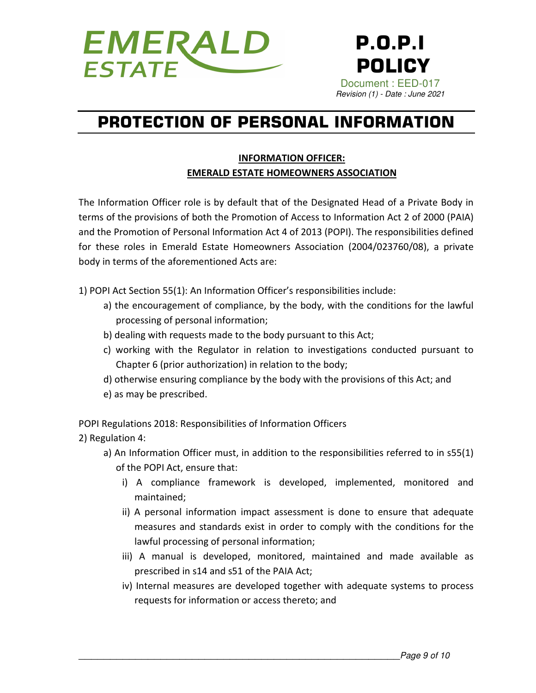

# **PROTECTION OF PERSONAL INFORMATION**

### **INFORMATION OFFICER: EMERALD ESTATE HOMEOWNERS ASSOCIATION**

The Information Officer role is by default that of the Designated Head of a Private Body in terms of the provisions of both the Promotion of Access to Information Act 2 of 2000 (PAIA) and the Promotion of Personal Information Act 4 of 2013 (POPI). The responsibilities defined for these roles in Emerald Estate Homeowners Association (2004/023760/08), a private body in terms of the aforementioned Acts are:

1) POPI Act Section 55(1): An Information Officer's responsibilities include:

- a) the encouragement of compliance, by the body, with the conditions for the lawful processing of personal information;
- b) dealing with requests made to the body pursuant to this Act;
- c) working with the Regulator in relation to investigations conducted pursuant to Chapter 6 (prior authorization) in relation to the body;
- d) otherwise ensuring compliance by the body with the provisions of this Act; and
- e) as may be prescribed.

POPI Regulations 2018: Responsibilities of Information Officers

2) Regulation 4:

- a) An Information Officer must, in addition to the responsibilities referred to in s55(1) of the POPI Act, ensure that:
	- i) A compliance framework is developed, implemented, monitored and maintained;
	- ii) A personal information impact assessment is done to ensure that adequate measures and standards exist in order to comply with the conditions for the lawful processing of personal information;
	- iii) A manual is developed, monitored, maintained and made available as prescribed in s14 and s51 of the PAIA Act;
	- iv) Internal measures are developed together with adequate systems to process requests for information or access thereto; and